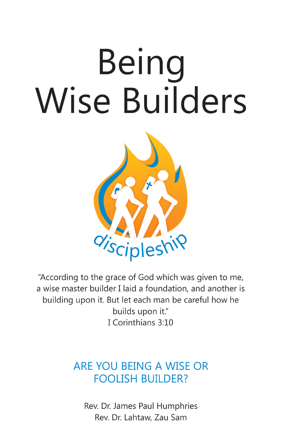# Being **Wise Builders**



"According to the grace of God which was given to me, a wise master builder I laid a foundation, and another is building upon it. But let each man be careful how he builds upon it." I Corinthians 3:10

## ARE YOU BEING A WISE OR **FOOLISH BUILDER?**

Rev. Dr. James Paul Humphries Rev. Dr. Lahtaw, Zau Sam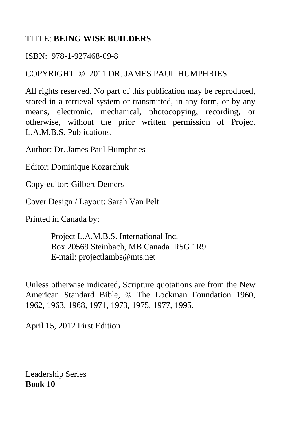#### TITLE: **BEING WISE BUILDERS**

#### ISBN: 978-1-927468-09-8

#### COPYRIGHT © 2011 DR. JAMES PAUL HUMPHRIES

All rights reserved. No part of this publication may be reproduced, stored in a retrieval system or transmitted, in any form, or by any means, electronic, mechanical, photocopying, recording, or otherwise, without the prior written permission of Project L.A.M.B.S. Publications.

Author: Dr. James Paul Humphries

Editor: Dominique Kozarchuk

Copy-editor: Gilbert Demers

Cover Design / Layout: Sarah Van Pelt

Printed in Canada by:

 Project L.A.M.B.S. International Inc. Box 20569 Steinbach, MB Canada R5G 1R9 E-mail: projectlambs@mts.net

Unless otherwise indicated, Scripture quotations are from the New American Standard Bible, © The Lockman Foundation 1960, 1962, 1963, 1968, 1971, 1973, 1975, 1977, 1995.

April 15, 2012 First Edition

Leadership Series **Book 10**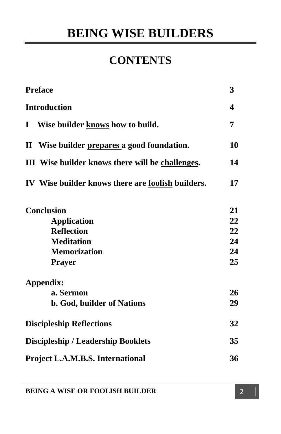## **CONTENTS**

| <b>Preface</b><br><b>Introduction</b><br>Wise builder knows how to build.<br>$\bf{I}$<br>II Wise builder prepares a good foundation.<br>III Wise builder knows there will be challenges.<br>IV Wise builder knows there are foolish builders. | 3<br>4<br>7<br>10<br>14<br>17 |                     |    |
|-----------------------------------------------------------------------------------------------------------------------------------------------------------------------------------------------------------------------------------------------|-------------------------------|---------------------|----|
|                                                                                                                                                                                                                                               |                               | <b>Conclusion</b>   | 21 |
|                                                                                                                                                                                                                                               |                               | <b>Application</b>  | 22 |
|                                                                                                                                                                                                                                               |                               | <b>Reflection</b>   | 22 |
|                                                                                                                                                                                                                                               |                               | <b>Meditation</b>   | 24 |
|                                                                                                                                                                                                                                               |                               | <b>Memorization</b> | 24 |
| <b>Prayer</b>                                                                                                                                                                                                                                 | 25                            |                     |    |
| Appendix:                                                                                                                                                                                                                                     |                               |                     |    |
| a. Sermon                                                                                                                                                                                                                                     | 26                            |                     |    |
| <b>b. God, builder of Nations</b>                                                                                                                                                                                                             | 29                            |                     |    |
| <b>Discipleship Reflections</b>                                                                                                                                                                                                               | 32                            |                     |    |
| <b>Discipleship / Leadership Booklets</b>                                                                                                                                                                                                     | 35                            |                     |    |
| <b>Project L.A.M.B.S. International</b>                                                                                                                                                                                                       | 36                            |                     |    |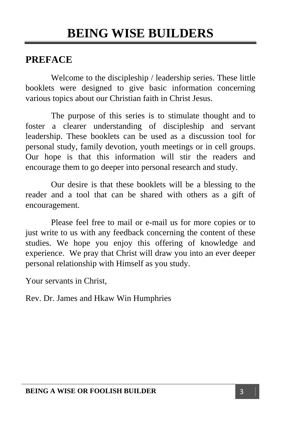#### **PREFACE**

 Welcome to the discipleship / leadership series. These little booklets were designed to give basic information concerning various topics about our Christian faith in Christ Jesus.

 The purpose of this series is to stimulate thought and to foster a clearer understanding of discipleship and servant leadership. These booklets can be used as a discussion tool for personal study, family devotion, youth meetings or in cell groups. Our hope is that this information will stir the readers and encourage them to go deeper into personal research and study.

 Our desire is that these booklets will be a blessing to the reader and a tool that can be shared with others as a gift of encouragement.

 Please feel free to mail or e-mail us for more copies or to just write to us with any feedback concerning the content of these studies. We hope you enjoy this offering of knowledge and experience. We pray that Christ will draw you into an ever deeper personal relationship with Himself as you study.

Your servants in Christ,

Rev. Dr. James and Hkaw Win Humphries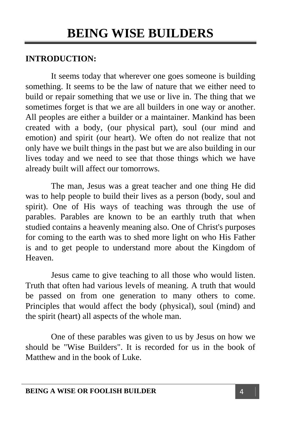#### **INTRODUCTION:**

It seems today that wherever one goes someone is building something. It seems to be the law of nature that we either need to build or repair something that we use or live in. The thing that we sometimes forget is that we are all builders in one way or another. All peoples are either a builder or a maintainer. Mankind has been created with a body, (our physical part), soul (our mind and emotion) and spirit (our heart). We often do not realize that not only have we built things in the past but we are also building in our lives today and we need to see that those things which we have already built will affect our tomorrows.

 The man, Jesus was a great teacher and one thing He did was to help people to build their lives as a person (body, soul and spirit). One of His ways of teaching was through the use of parables. Parables are known to be an earthly truth that when studied contains a heavenly meaning also. One of Christ's purposes for coming to the earth was to shed more light on who His Father is and to get people to understand more about the Kingdom of Heaven.

 Jesus came to give teaching to all those who would listen. Truth that often had various levels of meaning. A truth that would be passed on from one generation to many others to come. Principles that would affect the body (physical), soul (mind) and the spirit (heart) all aspects of the whole man.

One of these parables was given to us by Jesus on how we should be "Wise Builders". It is recorded for us in the book of Matthew and in the book of Luke.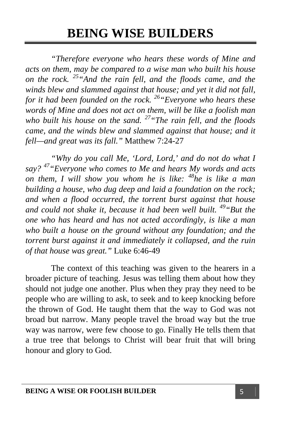*"Therefore everyone who hears these words of Mine and acts on them, may be compared to a wise man who built his house on the rock. 25"And the rain fell, and the floods came, and the winds blew and slammed against that house; and yet it did not fall, for it had been founded on the rock. 26"Everyone who hears these words of Mine and does not act on them, will be like a foolish man who built his house on the sand. 27"The rain fell, and the floods came, and the winds blew and slammed against that house; and it fell—and great was its fall."* Matthew 7:24-27

 *"Why do you call Me, 'Lord, Lord,' and do not do what I say? 47"Everyone who comes to Me and hears My words and acts on them, I will show you whom he is like: 48he is like a man building a house, who dug deep and laid a foundation on the rock; and when a flood occurred, the torrent burst against that house and could not shake it, because it had been well built. 49"But the one who has heard and has not acted accordingly, is like a man who built a house on the ground without any foundation; and the torrent burst against it and immediately it collapsed, and the ruin of that house was great."* Luke 6:46-49

 The context of this teaching was given to the hearers in a broader picture of teaching. Jesus was telling them about how they should not judge one another. Plus when they pray they need to be people who are willing to ask, to seek and to keep knocking before the thrown of God. He taught them that the way to God was not broad but narrow. Many people travel the broad way but the true way was narrow, were few choose to go. Finally He tells them that a true tree that belongs to Christ will bear fruit that will bring honour and glory to God.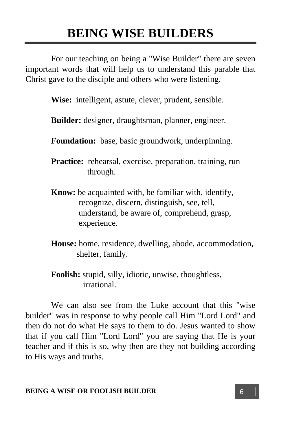For our teaching on being a "Wise Builder" there are seven important words that will help us to understand this parable that Christ gave to the disciple and others who were listening.

 **Wise:** intelligent, astute, clever, prudent, sensible.

 **Builder:** designer, draughtsman, planner, engineer.

 **Foundation:** base, basic groundwork, underpinning.

**Practice:** rehearsal, exercise, preparation, training, run through.

- **Know:** be acquainted with, be familiar with, identify, recognize, discern, distinguish, see, tell, understand, be aware of, comprehend, grasp, experience.
- **House:** home, residence, dwelling, abode, accommodation, shelter, family.

**Foolish:** stupid, silly, idiotic, unwise, thoughtless, irrational.

We can also see from the Luke account that this "wise builder" was in response to why people call Him "Lord Lord" and then do not do what He says to them to do. Jesus wanted to show that if you call Him "Lord Lord" you are saying that He is your teacher and if this is so, why then are they not building according to His ways and truths.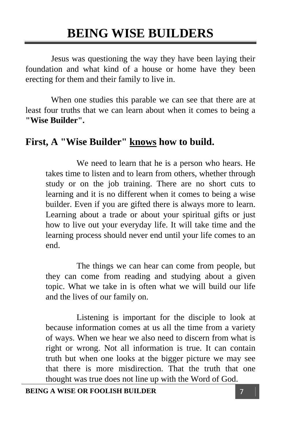Jesus was questioning the way they have been laying their foundation and what kind of a house or home have they been erecting for them and their family to live in.

When one studies this parable we can see that there are at least four truths that we can learn about when it comes to being a **"Wise Builder".** 

### **First, A "Wise Builder" knows how to build.**

 We need to learn that he is a person who hears. He takes time to listen and to learn from others, whether through study or on the job training. There are no short cuts to learning and it is no different when it comes to being a wise builder. Even if you are gifted there is always more to learn. Learning about a trade or about your spiritual gifts or just how to live out your everyday life. It will take time and the learning process should never end until your life comes to an end.

 The things we can hear can come from people, but they can come from reading and studying about a given topic. What we take in is often what we will build our life and the lives of our family on.

 Listening is important for the disciple to look at because information comes at us all the time from a variety of ways. When we hear we also need to discern from what is right or wrong. Not all information is true. It can contain truth but when one looks at the bigger picture we may see that there is more misdirection. That the truth that one thought was true does not line up with the Word of God.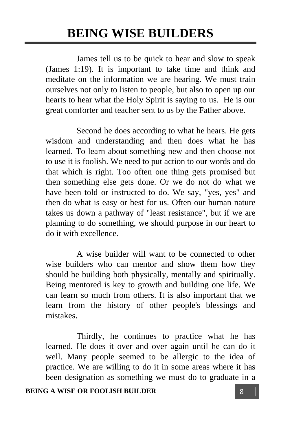James tell us to be quick to hear and slow to speak (James 1:19). It is important to take time and think and meditate on the information we are hearing. We must train ourselves not only to listen to people, but also to open up our hearts to hear what the Holy Spirit is saying to us. He is our great comforter and teacher sent to us by the Father above.

 Second he does according to what he hears. He gets wisdom and understanding and then does what he has learned. To learn about something new and then choose not to use it is foolish. We need to put action to our words and do that which is right. Too often one thing gets promised but then something else gets done. Or we do not do what we have been told or instructed to do. We say, "yes, yes" and then do what is easy or best for us. Often our human nature takes us down a pathway of "least resistance", but if we are planning to do something, we should purpose in our heart to do it with excellence.

 A wise builder will want to be connected to other wise builders who can mentor and show them how they should be building both physically, mentally and spiritually. Being mentored is key to growth and building one life. We can learn so much from others. It is also important that we learn from the history of other people's blessings and mistakes.

 Thirdly, he continues to practice what he has learned. He does it over and over again until he can do it well. Many people seemed to be allergic to the idea of practice. We are willing to do it in some areas where it has been designation as something we must do to graduate in a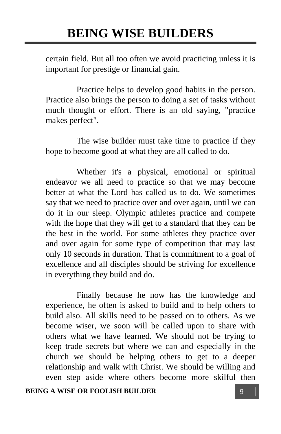certain field. But all too often we avoid practicing unless it is important for prestige or financial gain.

 Practice helps to develop good habits in the person. Practice also brings the person to doing a set of tasks without much thought or effort. There is an old saying, "practice makes perfect".

 The wise builder must take time to practice if they hope to become good at what they are all called to do.

 Whether it's a physical, emotional or spiritual endeavor we all need to practice so that we may become better at what the Lord has called us to do. We sometimes say that we need to practice over and over again, until we can do it in our sleep. Olympic athletes practice and compete with the hope that they will get to a standard that they can be the best in the world. For some athletes they practice over and over again for some type of competition that may last only 10 seconds in duration. That is commitment to a goal of excellence and all disciples should be striving for excellence in everything they build and do.

 Finally because he now has the knowledge and experience, he often is asked to build and to help others to build also. All skills need to be passed on to others. As we become wiser, we soon will be called upon to share with others what we have learned. We should not be trying to keep trade secrets but where we can and especially in the church we should be helping others to get to a deeper relationship and walk with Christ. We should be willing and even step aside where others become more skilful then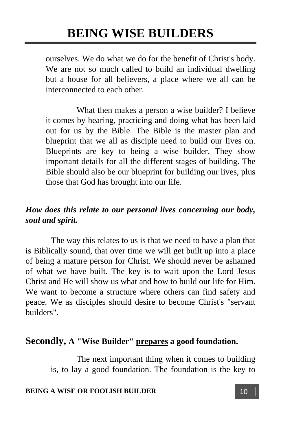ourselves. We do what we do for the benefit of Christ's body. We are not so much called to build an individual dwelling but a house for all believers, a place where we all can be interconnected to each other.

 What then makes a person a wise builder? I believe it comes by hearing, practicing and doing what has been laid out for us by the Bible. The Bible is the master plan and blueprint that we all as disciple need to build our lives on. Blueprints are key to being a wise builder. They show important details for all the different stages of building. The Bible should also be our blueprint for building our lives, plus those that God has brought into our life.

#### *How does this relate to our personal lives concerning our body, soul and spirit.*

The way this relates to us is that we need to have a plan that is Biblically sound, that over time we will get built up into a place of being a mature person for Christ. We should never be ashamed of what we have built. The key is to wait upon the Lord Jesus Christ and He will show us what and how to build our life for Him. We want to become a structure where others can find safety and peace. We as disciples should desire to become Christ's "servant builders".

#### **Secondly, A "Wise Builder" prepares a good foundation.**

 The next important thing when it comes to building is, to lay a good foundation. The foundation is the key to